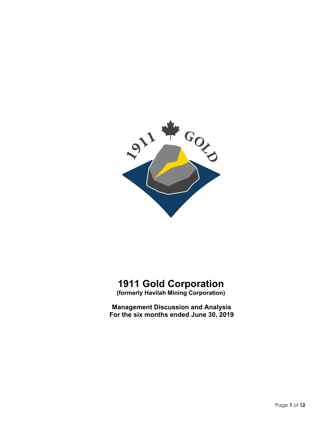

# **1911 Gold Corporation**

**(formerly Havilah Mining Corporation)**

**Management Discussion and Analysis For the six months ended June 30, 2019**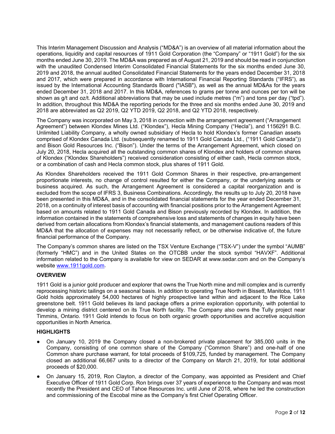This Interim Management Discussion and Analysis ("MD&A") is an overview of all material information about the operations, liquidity and capital resources of 1911 Gold Corporation (the "Company" or "1911 Gold") for the six months ended June 30, 2019. The MD&A was prepared as of August 21, 2019 and should be read in conjunction with the unaudited Condensed Interim Consolidated Financial Statements for the six months ended June 30, 2019 and 2018, the annual audited Consolidated Financial Statements for the years ended December 31, 2018 and 2017, which were prepared in accordance with International Financial Reporting Standards ("IFRS"), as issued by the International Accounting Standards Board ("IASB"), as well as the annual MD&As for the years ended December 31, 2018 and 2017. In this MD&A, references to grams per tonne and ounces per ton will be shown as g/t and oz/t. Additional abbreviations that may be used include metres ("m") and tons per day ("tpd"). In addition, throughout this MD&A the reporting periods for the three and six months ended June 30, 2019 and 2018 are abbreviated as Q2 2019, Q2 YTD 2019, Q2 2018, and Q2 YTD 2018, respectively.

The Company was incorporated on May 3, 2018 in connection with the arrangement agreement ("Arrangement Agreement") between Klondex Mines Ltd. ("Klondex"), Hecla Mining Company ("Hecla"), and 1156291 B.C. Unlimited Liability Company, a wholly owned subsidiary of Hecla to hold Klondex's former Canadian assets comprised of Klondex Canada Ltd. (subsequently renamed to 1911 Gold Canada Ltd., ("1911 Gold Canada")) and Bison Gold Resources Inc. ("Bison"). Under the terms of the Arrangement Agreement, which closed on July 20, 2018, Hecla acquired all the outstanding common shares of Klondex and holders of common shares of Klondex ("Klondex Shareholders") received consideration consisting of either cash, Hecla common stock, or a combination of cash and Hecla common stock, plus shares of 1911 Gold.

As Klondex Shareholders received the 1911 Gold Common Shares in their respective, pre-arrangement proportionate interests, no change of control resulted for either the Company, or the underlying assets or business acquired. As such, the Arrangement Agreement is considered a capital reorganization and is excluded from the scope of IFRS 3, Business Combinations. Accordingly, the results up to July 20, 2018 have been presented in this MD&A, and in the consolidated financial statements for the year ended December 31, 2018, on a continuity of interest basis of accounting with financial positions prior to the Arrangement Agreement based on amounts related to 1911 Gold Canada and Bison previously recorded by Klondex. In addition, the information contained in the statements of comprehensive loss and statements of changes in equity have been derived from certain allocations from Klondex's financial statements, and management cautions readers of this MD&A that the allocation of expenses may not necessarily reflect, or be otherwise indicative of, the future financial performance of the Company.

The Company's common shares are listed on the TSX Venture Exchange ("TSX-V") under the symbol "AUMB" (formerly "HMC") and in the United States on the OTCBB under the stock symbol "HAVXF". Additional information related to the Company is available for view on SEDAR at www.sedar.com and on the Company's website [www.1911gold.com.](http://www.1911gold.com/)

# **OVERVIEW**

1911 Gold is a junior gold producer and explorer that owns the True North mine and mill complex and is currently reprocessing historic tailings on a seasonal basis. In addition to operating True North in Bissett, Manitoba, 1911 Gold holds approximately 54,000 hectares of highly prospective land within and adjacent to the Rice Lake greenstone belt. 1911 Gold believes its land package offers a prime exploration opportunity, with potential to develop a mining district centered on its True North facility. The Company also owns the Tully project near Timmins, Ontario. 1911 Gold intends to focus on both organic growth opportunities and accretive acquisition opportunities in North America.

## **HIGHLIGHTS**

- On January 10, 2019 the Company closed a non-brokered private placement for 385,000 units in the Company, consisting of one common share of the Company ("Common Share") and one-half of one Common share purchase warrant, for total proceeds of \$109,725, funded by management. The Company closed an additional 66,667 units to a director of the Company on March 21, 2019, for total additional proceeds of \$20,000.
- On January 15, 2019, Ron Clayton, a director of the Company, was appointed as President and Chief Executive Officer of 1911 Gold Corp. Ron brings over 37 years of experience to the Company and was most recently the President and CEO of Tahoe Resources Inc. until June of 2018, where he led the construction and commissioning of the Escobal mine as the Company's first Chief Operating Officer.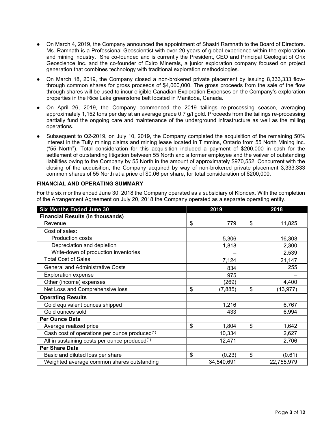- On March 4, 2019, the Company announced the appointment of Shastri Ramnath to the Board of Directors. Ms. Ramnath is a Professional Geoscientist with over 20 years of global experience within the exploration and mining industry. She co-founded and is currently the President, CEO and Principal Geologist of Orix Geoscience Inc. and the co-founder of Exiro Minerals, a junior exploration company focused on project generation that combines technology with traditional exploration methodologies.
- On March 18, 2019, the Company closed a non-brokered private placement by issuing 8,333,333 flowthrough common shares for gross proceeds of \$4,000,000. The gross proceeds from the sale of the flow through shares will be used to incur eligible Canadian Exploration Expenses on the Company's exploration properties in the Rice Lake greenstone belt located in Manitoba, Canada.
- On April 26, 2019, the Company commenced the 2019 tailings re-processing season, averaging approximately 1,152 tons per day at an average grade 0.7 g/t gold. Proceeds from the tailings re-processing partially fund the ongoing care and maintenance of the underground infrastructure as well as the milling operations.
- Subsequent to Q2-2019, on July 10, 2019, the Company completed the acquisition of the remaining 50% interest in the Tully mining claims and mining lease located in Timmins, Ontario from 55 North Mining Inc. ("55 North"). Total consideration for this acquisition included a payment of \$200,000 in cash for the settlement of outstanding litigation between 55 North and a former employee and the waiver of outstanding liabilities owing to the Company by 55 North in the amount of approximately \$970,552. Concurrent with the closing of the acquisition, the Company acquired by way of non-brokered private placement 3,333,333 common shares of 55 North at a price of \$0.06 per share, for total consideration of \$200,000.

## **FINANCIAL AND OPERATING SUMMARY**

For the six months ended June 30, 2018 the Company operated as a subsidiary of Klondex. With the completion of the Arrangement Agreement on July 20, 2018 the Company operated as a separate operating entity.

| <b>Six Months Ended June 30</b>                           | 2019 |            |    | 2018       |  |  |
|-----------------------------------------------------------|------|------------|----|------------|--|--|
| <b>Financial Results (in thousands)</b>                   |      |            |    |            |  |  |
| Revenue                                                   | \$   | 779        | \$ | 11,825     |  |  |
| Cost of sales:                                            |      |            |    |            |  |  |
| <b>Production costs</b>                                   |      | 5,306      |    | 16,308     |  |  |
| Depreciation and depletion                                |      | 1,818      |    | 2,300      |  |  |
| Write-down of production inventories                      |      |            |    | 2,539      |  |  |
| <b>Total Cost of Sales</b>                                |      | 7,124      |    | 21,147     |  |  |
| <b>General and Administrative Costs</b>                   |      | 834        |    | 255        |  |  |
| <b>Exploration expense</b>                                |      | 975        |    |            |  |  |
| Other (income) expenses                                   |      | (269)      |    | 4,400      |  |  |
| Net Loss and Comprehensive loss                           | \$   | (7, 885)   | \$ | (13, 977)  |  |  |
| <b>Operating Results</b>                                  |      |            |    |            |  |  |
| Gold equivalent ounces shipped                            |      | 1,216      |    | 6,767      |  |  |
| Gold ounces sold                                          |      | 433        |    | 6,994      |  |  |
| <b>Per Ounce Data</b>                                     |      |            |    |            |  |  |
| Average realized price                                    | \$   | 1,804      | \$ | 1,642      |  |  |
| Cash cost of operations per ounce produced(1)             |      | 10,334     |    | 2,627      |  |  |
| All in sustaining costs per ounce produced <sup>(1)</sup> |      | 12,471     |    | 2,706      |  |  |
| <b>Per Share Data</b>                                     |      |            |    |            |  |  |
| Basic and diluted loss per share                          | \$   | (0.23)     | \$ | (0.61)     |  |  |
| Weighted average common shares outstanding                |      | 34,540,691 |    | 22,755,979 |  |  |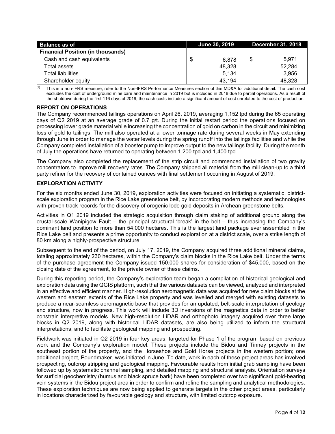| <b>Balance as of</b>                     | <b>June 30, 2019</b> | <b>December 31, 2018</b> |        |  |
|------------------------------------------|----------------------|--------------------------|--------|--|
| <b>Financial Position (in thousands)</b> |                      |                          |        |  |
| Cash and cash equivalents                | 6.878                |                          | 5.971  |  |
| Total assets                             | 48.328               |                          | 52.284 |  |
| Total liabilities.                       | 5.134                |                          | 3.956  |  |
| Shareholder equity                       | 43.194               |                          | 48.328 |  |

(1) This is a non-IFRS measure; refer to the Non-IFRS Performance Measures section of this MD&A for additional detail. The cash cost excludes the cost of underground mine care and maintenance in 2019 but is included in 2018 due to partial operations. As a result of the shutdown during the first 116 days of 2019, the cash costs include a significant amount of cost unrelated to the cost of production.

# **REPORT ON OPERATIONS**

The Company recommenced tailings operations on April 26, 2019, averaging 1,152 tpd during the 65 operating days of Q2 2019 at an average grade of 0.7 g/t. During the initial restart period the operations focused on processing lower grade material while increasing the concentration of gold on carbon in the circuit and minimizing loss of gold to tailings. The mill also operated at a lower tonnage rate during several weeks in May extending through June in order to manage the water levels during the spring runoff into the tailings facilities and while the Company completed installation of a booster pump to improve output to the new tailings facility. During the month of July the operations have returned to operating between 1,200 tpd and 1,400 tpd.

The Company also completed the replacement of the strip circuit and commenced installation of two gravity concentrators to improve mill recovery rates. The Company shipped all material from the mill clean-up to a third party refiner for the recovery of contained ounces with final settlement occurring in August of 2019.

# **EXPLORATION ACTIVITY**

For the six months ended June 30, 2019, exploration activities were focused on initiating a systematic, districtscale exploration program in the Rice Lake greenstone belt, by incorporating modern methods and technologies with proven track records for the discovery of orogenic lode gold deposits in Archean greenstone belts.

Activities in Q1 2019 included the strategic acquisition through claim staking of additional ground along the crustal-scale Wanipigow Fault – the principal structural 'break' in the belt – thus increasing the Company's dominant land position to more than 54,000 hectares. This is the largest land package ever assembled in the Rice Lake belt and presents a prime opportunity to conduct exploration at a district scale, over a strike length of 80 km along a highly-prospective structure.

Subsequent to the end of the period, on July 17, 2019, the Company acquired three additional mineral claims, totaling approximately 230 hectares, within the Company's claim blocks in the Rice Lake belt. Under the terms of the purchase agreement the Company issued 150,000 shares for consideration of \$45,000, based on the closing date of the agreement, to the private owner of these claims.

During this reporting period, the Company's exploration team began a compilation of historical geological and exploration data using the QGIS platform, such that the various datasets can be viewed, analyzed and interpreted in an effective and efficient manner. High-resolution aeromagnetic data was acquired for new claim blocks at the western and eastern extents of the Rice Lake property and was levelled and merged with existing datasets to produce a near-seamless aeromagnetic base that provides for an updated, belt-scale interpretation of geology and structure, now in progress. This work will include 3D inversions of the magnetics data in order to better constrain interpretive models. New high-resolution LiDAR and orthophoto imagery acquired over three large blocks in Q2 2019, along with historical LiDAR datasets, are also being utilized to inform the structural interpretations, and to facilitate geological mapping and prospecting.

Fieldwork was initiated in Q2 2019 in four key areas, targeted for Phase 1 of the program based on previous work and the Company's exploration model. These projects include the Bidou and Tinney projects in the southeast portion of the property, and the Horseshoe and Gold Horse projects in the western portion; one additional project, Poundmaker, was initiated in June. To date, work in each of these project areas has involved prospecting, outcrop stripping and geological mapping. Favourable results from initial grab sampling have been followed up by systematic channel sampling, and detailed mapping and structural analysis. Orientation surveys for surficial geochemistry (humus and black spruce bark) have been completed over two significant gold-bearing vein systems in the Bidou project area in order to confirm and refine the sampling and analytical methodologies. These exploration techniques are now being applied to generate targets in the other project areas, particularly in locations characterized by favourable geology and structure, with limited outcrop exposure.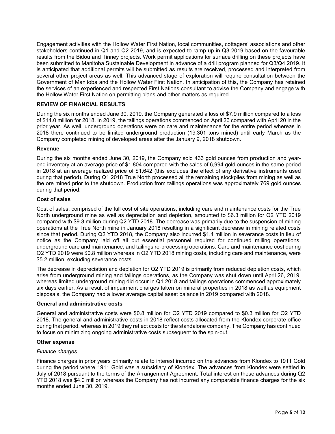Engagement activities with the Hollow Water First Nation, local communities, cottagers' associations and other stakeholders continued in Q1 and Q2 2019, and is expected to ramp up in Q3 2019 based on the favourable results from the Bidou and Tinney projects. Work permit applications for surface drilling on these projects have been submitted to Manitoba Sustainable Development in advance of a drill program planned for Q3/Q4 2019. It is anticipated that additional permits will be submitted as results are received, processed and interpreted from several other project areas as well. This advanced stage of exploration will require consultation between the Government of Manitoba and the Hollow Water First Nation. In anticipation of this, the Company has retained the services of an experienced and respected First Nations consultant to advise the Company and engage with the Hollow Water First Nation on permitting plans and other matters as required.

# **REVIEW OF FINANCIAL RESULTS**

During the six months ended June 30, 2019, the Company generated a loss of \$7.9 million compared to a loss of \$14.0 million for 2018. In 2019, the tailings operations commenced on April 26 compared with April 20 in the prior year. As well, underground operations were on care and maintenance for the entire period whereas in 2018 there continued to be limited underground production (19,301 tons mined) until early March as the Company completed mining of developed areas after the January 9, 2018 shutdown.

## **Revenue**

During the six months ended June 30, 2019, the Company sold 433 gold ounces from production and yearend inventory at an average price of \$1,804 compared with the sales of 6,994 gold ounces in the same period in 2018 at an average realized price of \$1,642 (this excludes the effect of any derivative instruments used during that period). During Q1 2018 True North processed all the remaining stockpiles from mining as well as the ore mined prior to the shutdown. Production from tailings operations was approximately 769 gold ounces during that period.

# **Cost of sales**

Cost of sales, comprised of the full cost of site operations, including care and maintenance costs for the True North underground mine as well as depreciation and depletion, amounted to \$6.3 million for Q2 YTD 2019 compared with \$9.3 million during Q2 YTD 2018. The decrease was primarily due to the suspension of mining operations at the True North mine in January 2018 resulting in a significant decrease in mining related costs since that period. During Q2 YTD 2018, the Company also incurred \$1.4 million in severance costs in lieu of notice as the Company laid off all but essential personnel required for continued milling operations, underground care and maintenance, and tailings re-processing operations. Care and maintenance cost during Q2 YTD 2019 were \$0.8 million whereas in Q2 YTD 2018 mining costs, including care and maintenance, were \$5.2 million, excluding severance costs.

The decrease in depreciation and depletion for Q2 YTD 2019 is primarily from reduced depletion costs, which arise from underground mining and tailings operations, as the Company was shut down until April 26, 2019, whereas limited underground mining did occur in Q1 2018 and tailings operations commenced approximately six days earlier. As a result of impairment charges taken on mineral properties in 2018 as well as equipment disposals, the Company had a lower average capital asset balance in 2019 compared with 2018.

## **General and administrative costs**

General and administrative costs were \$0.8 million for Q2 YTD 2019 compared to \$0.3 million for Q2 YTD 2018. The general and administrative costs in 2018 reflect costs allocated from the Klondex corporate office during that period, whereas in 2019 they reflect costs for the standalone company. The Company has continued to focus on minimizing ongoing administrative costs subsequent to the spin-out.

## **Other expense**

## *Finance charges*

Finance charges in prior years primarily relate to interest incurred on the advances from Klondex to 1911 Gold during the period where 1911 Gold was a subsidiary of Klondex. The advances from Klondex were settled in July of 2018 pursuant to the terms of the Arrangement Agreement. Total interest on these advances during Q2 YTD 2018 was \$4.0 million whereas the Company has not incurred any comparable finance charges for the six months ended June 30, 2019.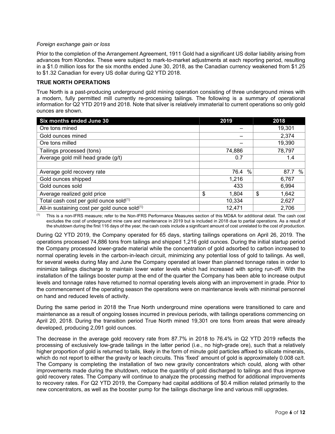## *Foreign exchange gain or loss*

Prior to the completion of the Arrangement Agreement, 1911 Gold had a significant US dollar liability arising from advances from Klondex. These were subject to mark-to-market adjustments at each reporting period, resulting in a \$1.0 million loss for the six months ended June 30, 2018, as the Canadian currency weakened from \$1.25 to \$1.32 Canadian for every US dollar during Q2 YTD 2018.

# **TRUE NORTH OPERATIONS**

True North is a past-producing underground gold mining operation consisting of three underground mines with a modern, fully permitted mill currently re-processing tailings. The following is a summary of operational information for Q2 YTD 2019 and 2018. Note that silver is relatively immaterial to current operations so only gold ounces are shown.

| Six months ended June 30                      | 2019         | 2018        |
|-----------------------------------------------|--------------|-------------|
| Ore tons mined                                |              | 19,301      |
| Gold ounces mined                             |              | 2,374       |
| Ore tons milled                               |              | 19,390      |
| Tailings processed (tons)                     | 74,886       | 78,797      |
| Average gold mill head grade (g/t)            | 0.7          | 1.4         |
|                                               |              |             |
| Average gold recovery rate                    | $\%$<br>76.4 | %<br>87.7   |
| Gold ounces shipped                           | 1,216        | 6,767       |
| Gold ounces sold                              | 433          | 6,994       |
| Average realized gold price                   | \$<br>1,804  | \$<br>1,642 |
| Total cash cost per gold ounce sold(1)        | 10,334       | 2,627       |
| All-in sustaining cost per gold ounce sold(1) | 12,471       | 2,706       |

 $<sup>(1)</sup>$  This is a non-IFRS measure; refer to the Non-IFRS Performance Measures section of this MD&A for additional detail. The cash cost</sup> excludes the cost of underground mine care and maintenance in 2019 but is included in 2018 due to partial operations. As a result of the shutdown during the first 116 days of the year, the cash costs include a significant amount of cost unrelated to the cost of production.

During Q2 YTD 2019, the Company operated for 65 days, starting tailings operations on April 26, 2019. The operations processed 74,886 tons from tailings and shipped 1,216 gold ounces. During the initial startup period the Company processed lower-grade material while the concentration of gold adsorbed to carbon increased to normal operating levels in the carbon-in-leach circuit, minimizing any potential loss of gold to tailings. As well, for several weeks during May and June the Company operated at lower than planned tonnage rates in order to minimize tailings discharge to maintain lower water levels which had increased with spring run-off. With the installation of the tailings booster pump at the end of the quarter the Company has been able to increase output levels and tonnage rates have returned to normal operating levels along with an improvement in grade. Prior to the commencement of the operating season the operations were on maintenance levels with minimal personnel on hand and reduced levels of activity.

During the same period in 2018 the True North underground mine operations were transitioned to care and maintenance as a result of ongoing losses incurred in previous periods, with tailings operations commencing on April 20, 2018. During the transition period True North mined 19,301 ore tons from areas that were already developed, producing 2,091 gold ounces.

The decrease in the average gold recovery rate from 87.7% in 2018 to 76.4% in Q2 YTD 2019 reflects the processing of exclusively low-grade tailings in the latter period (i.e., no high-grade ore), such that a relatively higher proportion of gold is returned to tails, likely in the form of minute gold particles affixed to silicate minerals, which do not report to either the gravity or leach circuits. This 'fixed' amount of gold is approximately 0.008 oz/t. The Company is completing the installation of two new gravity concentrators which could, along with other improvements made during the shutdown, reduce the quantity of gold discharged to tailings and thus improve gold recovery rates. The Company will continue to analyze the processing method for additional improvements to recovery rates. For Q2 YTD 2019, the Company had capital additions of \$0.4 million related primarily to the new concentrators, as well as the booster pump for the tailings discharge line and various mill upgrades.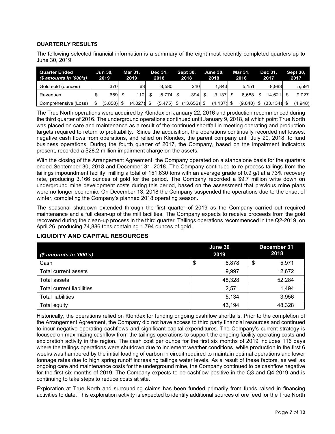# **QUARTERLY RESULTS**

The following selected financial information is a summary of the eight most recently completed quarters up to June 30, 2019.

| Quarter Ended<br>(\$ amounts in '000's) | <b>Jun 30.</b><br>2019 | Mar 31.<br>2019 | Dec 31.<br>2018 | <b>Sept 30,</b><br>2018 | <b>June 30.</b><br>2018 | Mar 31.<br>2018 | Dec 31.<br>2017 | <b>Sept 30.</b><br>2017 |
|-----------------------------------------|------------------------|-----------------|-----------------|-------------------------|-------------------------|-----------------|-----------------|-------------------------|
| Gold sold (ounces)                      | 370                    | 63              | 3.580           | 240                     | 1.843                   | 5.151           | 8.983           | 5.591                   |
| Revenues                                | 669 \$                 | 110 l           | $5.774$ \$      | 394                     | 3.137                   | 8.688           | 14.621          | 9,027                   |
| Comprehensive (Loss)                    | \$<br>$(3,858)$ \$     | $(4,027)$ \$    | $(5,475)$ \$    | (13,656) \$             | $(4, 137)$ \$           | $(9,840)$ \$    | $(33, 134)$ \$  | (4,948)                 |

The True North operations were acquired by Klondex on January 22, 2016 and production recommenced during the third quarter of 2016. The underground operations continued until January 9, 2018, at which point True North was placed on care and maintenance as a result of the continued shortfall in meeting operating and production targets required to return to profitability. Since the acquisition, the operations continually recorded net losses, negative cash flows from operations, and relied on Klondex, the parent company until July 20, 2018, to fund business operations. During the fourth quarter of 2017, the Company, based on the impairment indicators present, recorded a \$28.2 million impairment charge on the assets.

With the closing of the Arrangement Agreement, the Company operated on a standalone basis for the quarters ended September 30, 2018 and December 31, 2018. The Company continued to re-process tailings from the tailings impoundment facility, milling a total of 151,630 tons with an average grade of 0.9 g/t at a 73% recovery rate, producing 3,166 ounces of gold for the period. The Company recorded a \$9.7 million write down on underground mine development costs during this period, based on the assessment that previous mine plans were no longer economic. On December 13, 2018 the Company suspended the operations due to the onset of winter, completing the Company's planned 2018 operating season.

The seasonal shutdown extended through the first quarter of 2019 as the Company carried out required maintenance and a full clean-up of the mill facilities. The Company expects to receive proceeds from the gold recovered during the clean-up process in the third quarter. Tailings operations recommenced in the Q2-2019, on April 26, producing 74,886 tons containing 1,794 ounces of gold.

| $$$ amounts in '000's)    | June 30<br>2019 | December 31<br>2018 |
|---------------------------|-----------------|---------------------|
| Cash                      | \$<br>6,878     | \$<br>5,971         |
| Total current assets      | 9,997           | 12,672              |
| Total assets              | 48,328          | 52,284              |
| Total current liabilities | 2,571           | 1,494               |
| <b>Total liabilities</b>  | 5,134           | 3,956               |
| Total equity              | 43,194          | 48,328              |

## **LIQUIDITY AND CAPITAL RESOURCES**

Historically, the operations relied on Klondex for funding ongoing cashflow shortfalls. Prior to the completion of the Arrangement Agreement, the Company did not have access to third party financial resources and continued to incur negative operating cashflows and significant capital expenditures. The Company's current strategy is focused on maximizing cashflow from the tailings operations to support the ongoing facility operating costs and exploration activity in the region. The cash cost per ounce for the first six months of 2019 includes 116 days where the tailings operations were shutdown due to inclement weather conditions, while production in the first 6 weeks was hampered by the initial loading of carbon in circuit required to maintain optimal operations and lower tonnage rates due to high spring runoff increasing tailings water levels. As a result of these factors, as well as ongoing care and maintenance costs for the underground mine, the Company continued to be cashflow negative for the first six months of 2019. The Company expects to be cashflow positive in the Q3 and Q4 2019 and is continuing to take steps to reduce costs at site.

Exploration at True North and surrounding claims has been funded primarily from funds raised in financing activities to date. This exploration activity is expected to identify additional sources of ore feed for the True North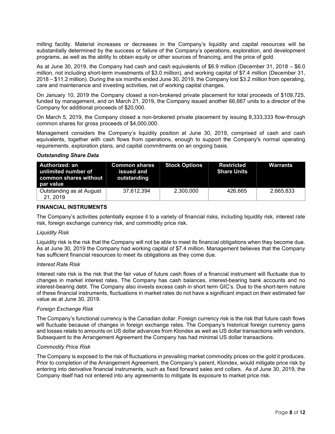milling facility. Material increases or decreases in the Company's liquidity and capital resources will be substantially determined by the success or failure of the Company's operations, exploration, and development programs, as well as the ability to obtain equity or other sources of financing, and the price of gold.

As at June 30, 2019, the Company had cash and cash equivalents of \$6.9 million (December 31, 2018 – \$6.0 million, not including short-term investments of \$3.0 million), and working capital of \$7.4 million (December 31, 2018 – \$11.2 million). During the six months ended June 30, 2019, the Company lost \$3.2 million from operating, care and maintenance and investing activities, net of working capital changes.

On January 10, 2019 the Company closed a non-brokered private placement for total proceeds of \$109,725, funded by management, and on March 21, 2019, the Company issued another 66,667 units to a director of the Company for additional proceeds of \$20,000.

On March 5, 2019, the Company closed a non-brokered private placement by issuing 8,333,333 flow-through common shares for gross proceeds of \$4,000,000.

Management considers the Company's liquidity position at June 30, 2019, comprised of cash and cash equivalents, together with cash flows from operations, enough to support the Company's normal operating requirements, exploration plans, and capital commitments on an ongoing basis.

#### *Outstanding Share Data*

| Authorized: an<br>unlimited number of<br>common shares without I<br>par value | <b>Common shares</b><br>issued and<br>outstanding | <b>Stock Options</b> | Restricted<br><b>Share Units</b> | Warrants  |
|-------------------------------------------------------------------------------|---------------------------------------------------|----------------------|----------------------------------|-----------|
| Outstanding as at August<br>21, 2019                                          | 37.612.394                                        | 2,300,000            | 426.665                          | 2,665,833 |

## **FINANCIAL INSTRUMENTS**

The Company's activities potentially expose it to a variety of financial risks, including liquidity risk, interest rate risk, foreign exchange currency risk, and commodity price risk.

#### *Liquidity Risk*

Liquidity risk is the risk that the Company will not be able to meet its financial obligations when they become due. As at June 30, 2019 the Company had working capital of \$7.4 million. Management believes that the Company has sufficient financial resources to meet its obligations as they come due.

#### *Interest Rate Risk*

Interest rate risk is the risk that the fair value of future cash flows of a financial instrument will fluctuate due to changes in market interest rates. The Company has cash balances, interest-bearing bank accounts and no interest-bearing debt. The Company also invests excess cash in short term GIC's. Due to the short-term nature of these financial instruments, fluctuations in market rates do not have a significant impact on their estimated fair value as at June 30, 2019.

#### *Foreign Exchange Risk*

The Company's functional currency is the Canadian dollar. Foreign currency risk is the risk that future cash flows will fluctuate because of changes in foreign exchange rates. The Company's historical foreign currency gains and losses relate to amounts on US dollar advances from Klondex as well as US dollar transactions with vendors. Subsequent to the Arrangement Agreement the Company has had minimal US dollar transactions.

#### *Commodity Price Risk*

The Company is exposed to the risk of fluctuations in prevailing market commodity prices on the gold it produces. Prior to completion of the Arrangement Agreement, the Company's parent, Klondex, would mitigate price risk by entering into derivative financial instruments, such as fixed forward sales and collars. As of June 30, 2019, the Company itself had not entered into any agreements to mitigate its exposure to market price risk.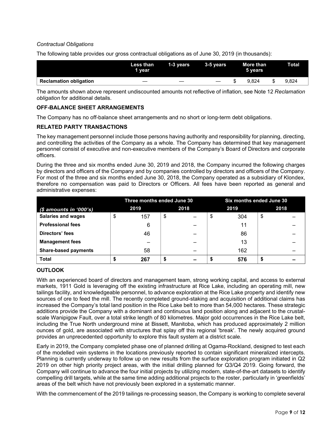# *Contractual Obligations*

The following table provides our gross contractual obligations as of June 30, 2019 (in thousands):

|                               | Less than<br>1 vear | 1-3 vears | 3-5 vears |  | More than<br>5 vears | <b>Total</b> |  |
|-------------------------------|---------------------|-----------|-----------|--|----------------------|--------------|--|
| <b>Reclamation obligation</b> |                     |           |           |  | 9.824                | 9.824        |  |

The amounts shown above represent undiscounted amounts not reflective of inflation, see Note 12 *Reclamation obligation* for additional details.

# **OFF-BALANCE SHEET ARRANGEMENTS**

The Company has no off-balance sheet arrangements and no short or long-term debt obligations.

# **RELATED PARTY TRANSACTIONS**

The key management personnel include those persons having authority and responsibility for planning, directing, and controlling the activities of the Company as a whole. The Company has determined that key management personnel consist of executive and non-executive members of the Company's Board of Directors and corporate officers.

During the three and six months ended June 30, 2019 and 2018, the Company incurred the following charges by directors and officers of the Company and by companies controlled by directors and officers of the Company. For most of the three and six months ended June 30, 2018, the Company operated as a subsidiary of Klondex, therefore no compensation was paid to Directors or Officers. All fees have been reported as general and administrative expenses:

|                             | Three months ended June 30 |      |    | Six months ended June 30 |    |      |    |      |
|-----------------------------|----------------------------|------|----|--------------------------|----|------|----|------|
| $$$ amounts in '000's)      |                            | 2019 |    | 2018                     |    | 2019 |    | 2018 |
| <b>Salaries and wages</b>   | \$                         | 157  | \$ |                          | \$ | 304  | \$ |      |
| <b>Professional fees</b>    |                            | 6    |    |                          |    | 11   |    |      |
| Directors' fees             |                            | 46   |    |                          |    | 86   |    |      |
| <b>Management fees</b>      |                            |      |    |                          |    | 13   |    |      |
| <b>Share-based payments</b> |                            | 58   |    |                          |    | 162  |    |      |
| <b>Total</b>                |                            | 267  |    |                          |    | 576  |    |      |

# **OUTLOOK**

With an experienced board of directors and management team, strong working capital, and access to external markets, 1911 Gold is leveraging off the existing infrastructure at Rice Lake, including an operating mill, new tailings facility, and knowledgeable personnel, to advance exploration at the Rice Lake property and identify new sources of ore to feed the mill. The recently completed ground-staking and acquisition of additional claims has increased the Company's total land position in the Rice Lake belt to more than 54,000 hectares. These strategic additions provide the Company with a dominant and continuous land position along and adjacent to the crustalscale Wanipigow Fault, over a total strike length of 80 kilometres. Major gold occurrences in the Rice Lake belt, including the True North underground mine at Bissett, Manitoba, which has produced approximately 2 million ounces of gold, are associated with structures that splay off this regional 'break'. The newly acquired ground provides an unprecedented opportunity to explore this fault system at a district scale.

Early in 2019, the Company completed phase one of planned drilling at Ogama-Rockland, designed to test each of the modelled vein systems in the locations previously reported to contain significant mineralized intercepts. Planning is currently underway to follow up on new results from the surface exploration program initiated in Q2 2019 on other high priority project areas, with the initial drilling planned for Q3/Q4 2019. Going forward, the Company will continue to advance the four initial projects by utilizing modern, state-of-the-art datasets to identify compelling drill targets, while at the same time adding additional projects to the roster, particularly in 'greenfields' areas of the belt which have not previously been explored in a systematic manner.

With the commencement of the 2019 tailings re-processing season, the Company is working to complete several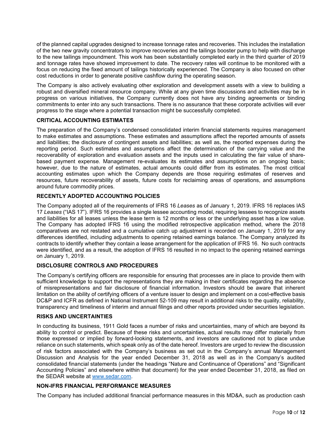of the planned capital upgrades designed to increase tonnage rates and recoveries. This includes the installation of the two new gravity concentrators to improve recoveries and the tailings booster pump to help with discharge to the new tailings impoundment. This work has been substantially completed early in the third quarter of 2019 and tonnage rates have showed improvement to date. The recovery rates will continue to be monitored with a focus on reducing the fixed amount of tailings historically experienced. The Company is also focused on other cost reductions in order to generate positive cashflow during the operating season.

The Company is also actively evaluating other exploration and development assets with a view to building a robust and diversified mineral resource company. While at any given time discussions and activities may be in progress on various initiatives, the Company currently does not have any binding agreements or binding commitments to enter into any such transactions. There is no assurance that these corporate activities will ever progress to the stage where a potential transaction might be successfully completed.

## **CRITICAL ACCOUNTING ESTIMATES**

The preparation of the Company's condensed consolidated interim financial statements requires management to make estimates and assumptions. These estimates and assumptions affect the reported amounts of assets and liabilities; the disclosure of contingent assets and liabilities; as well as, the reported expenses during the reporting period. Such estimates and assumptions affect the determination of the carrying value and the recoverability of exploration and evaluation assets and the inputs used in calculating the fair value of sharebased payment expense. Management re-evaluates its estimates and assumptions on an ongoing basis; however, due to the nature of estimates, actual amounts could differ from its estimates. The most critical accounting estimates upon which the Company depends are those requiring estimates of reserves and resources, future recoverability of assets, future costs for reclaiming areas of operations, and assumptions around future commodity prices.

# **RECENTLY ADOPTED ACCOUNTING POLICIES**

The Company adopted all of the requirements of IFRS 16 *Leases* as of January 1, 2019. IFRS 16 replaces IAS 17 *Leases* ("IAS 17"). IFRS 16 provides a single lessee accounting model, requiring lessees to recognize assets and liabilities for all leases unless the lease term is 12 months or less or the underlying asset has a low value. The Company has adopted IFRS 16 using the modified retrospective application method, where the 2018 comparatives are not restated and a cumulative catch up adjustment is recorded on January 1, 2019 for any differences identified, including adjustments to opening retained earnings balance. The Company analyzed its contracts to identify whether they contain a lease arrangement for the application of IFRS 16. No such contracts were identified, and as a result, the adoption of IFRS 16 resulted in no impact to the opening retained earnings on January 1, 2019.

# **DISCLOSURE CONTROLS AND PROCEDURES**

The Company's certifying officers are responsible for ensuring that processes are in place to provide them with sufficient knowledge to support the representations they are making in their certificates regarding the absence of misrepresentations and fair disclosure of financial information. Investors should be aware that inherent limitation on the ability of certifying officers of a venture issuer to design and implement on a cost-effective basis DC&P and ICFR as defined in National Instrument 52-109 may result in additional risks to the quality, reliability, transparency and timeliness of interim and annual filings and other reports provided under securities legislation.

## **RISKS AND UNCERTAINTIES**

In conducting its business, 1911 Gold faces a number of risks and uncertainties, many of which are beyond its ability to control or predict. Because of these risks and uncertainties, actual results may differ materially from those expressed or implied by forward-looking statements, and investors are cautioned not to place undue reliance on such statements, which speak only as of the date hereof. Investors are urged to review the discussion of risk factors associated with the Company's business as set out in the Company's annual Management Discussion and Analysis for the year ended December 31, 2018 as well as in the Company's audited consolidated financial statements (under the headings "Nature and Continuance of Operations" and "Significant Accounting Policies" and elsewhere within that document) for the year ended December 31, 2018, as filed on the SEDAR website at [www.sedar.com.](http://www.sedar.com/)

# **NON-IFRS FINANCIAL PERFORMANCE MEASURES**

The Company has included additional financial performance measures in this MD&A, such as production cash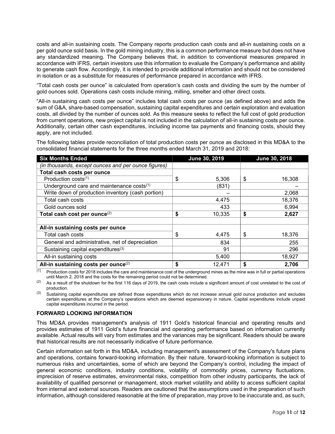costs and all-in sustaining costs. The Company reports production cash costs and all-in sustaining costs on a per gold ounce sold basis. In the gold mining industry, this is a common performance measure but does not have any standardized meaning. The Company believes that, in addition to conventional measures prepared in accordance with IFRS, certain investors use this information to evaluate the Company's performance and ability to generate cash flow. Accordingly, it is intended to provide additional information and should not be considered in isolation or as a substitute for measures of performance prepared in accordance with IFRS.

"Total cash costs per ounce" is calculated from operation's cash costs and dividing the sum by the number of gold ounces sold. Operations cash costs include mining, milling, smelter and other direct costs.

"All-in sustaining cash costs per ounce" includes total cash costs per ounce (as defined above) and adds the sum of G&A, share-based compensation, sustaining capital expenditures and certain exploration and evaluation costs, all divided by the number of ounces sold. As this measure seeks to reflect the full cost of gold production from current operations, new project capital is not included in the calculation of all-in sustaining costs per ounce. Additionally, certain other cash expenditures, including income tax payments and financing costs, should they apply, are not included.

The following tables provide reconciliation of total production costs per ounce as disclosed in this MD&A to the consolidated financial statements for the three months ended March 31, 2019 and 2018:

| <b>Six Months Ended</b>                             | June 30, 2019 | June 30, 2018 |
|-----------------------------------------------------|---------------|---------------|
| (in thousands, except ounces and per ounce figures) |               |               |
| Total cash costs per ounce                          |               |               |
| Production costs(1)                                 | \$<br>5,306   | \$<br>16,308  |
| Underground care and maintenance costs(1)           | (831)         |               |
| Write down of production inventory (cash portion)   |               | 2,068         |
| Total cash costs                                    | 4,475         | 18,376        |
| Gold ounces sold                                    | 433           | 6,994         |
| Total cash cost per ounce <sup>(2)</sup>            | \$<br>10,335  | \$<br>2,627   |
|                                                     |               |               |
| All-in sustaining costs per ounce                   |               |               |
| Total cash costs                                    | \$<br>4,475   | \$<br>18,376  |
| General and administrative, net of depreciation     | 834           | 255           |
| Sustaining capital expenditures <sup>(3)</sup>      | 91            | 296           |
| All-in sustaining costs                             | 5,400         | 18,927        |
| All-in sustaining costs per ounce <sup>(2)</sup>    | \$<br>12,471  | 2,706         |

 $(1)$  Production costs for 2018 includes the care and maintenance cost of the underground mines as the mine was in full or partial operations until March 2, 2018 and the costs for the remaining period could not be determined.

 $(2)$  As a result of the shutdown for the first 116 days of 2019, the cash costs include a significant amount of cost unrelated to the cost of production.

Sustaining capital expenditures are defined those expenditures which do not increase annual gold ounce production and excludes certain expenditures at the Company's operations which are deemed expansionary in nature. Capital expenditures include unpaid capital expenditures incurred in the period.

# **FORWARD LOOKING INFORMATION**

This MD&A provides management's analysis of 1911 Gold's historical financial and operating results and provides estimates of 1911 Gold's future financial and operating performance based on information currently available. Actual results will vary from estimates and the variances may be significant. Readers should be aware that historical results are not necessarily indicative of future performance.

Certain information set forth in this MD&A, including management's assessment of the Company's future plans and operations, contains forward-looking information. By their nature, forward-looking information is subject to numerous risks and uncertainties, some of which are beyond the Company's control, including the impact of general economic conditions, industry conditions, volatility of commodity prices, currency fluctuations, imprecision of reserve estimates, environmental risks, competition from other industry participants, the lack of availability of qualified personnel or management, stock market volatility and ability to access sufficient capital from internal and external sources. Readers are cautioned that the assumptions used in the preparation of such information, although considered reasonable at the time of preparation, may prove to be inaccurate and, as such,